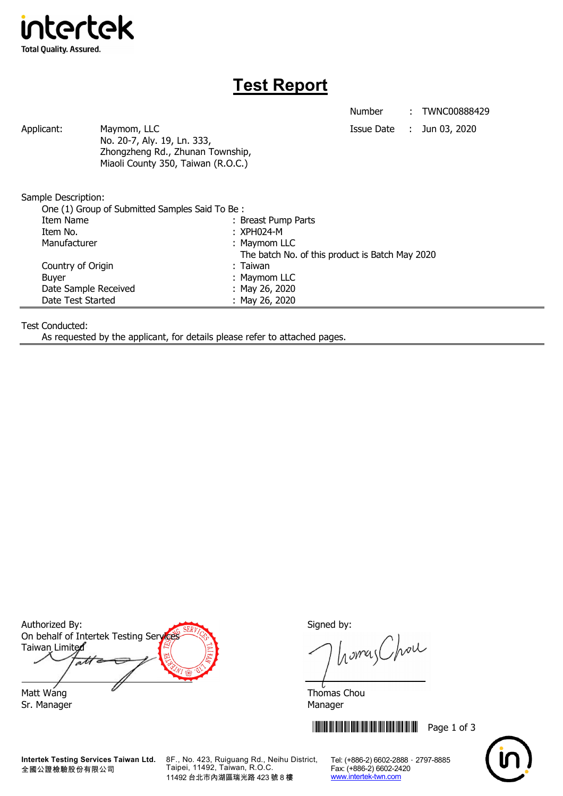

## **Test Report**

Number : TWNC00888429

Applicant: Maymom, LLC Maymon, LLC Applicant: Jun 03, 2020 No. 20-7, Aly. 19, Ln. 333, Zhongzheng Rd., Zhunan Township, Miaoli County 350, Taiwan (R.O.C.)

Sample Description:

| One (1) Group of Submitted Samples Said To Be: |                                                 |
|------------------------------------------------|-------------------------------------------------|
| Item Name                                      | : Breast Pump Parts                             |
| Item No.                                       | $: XPH024-M$                                    |
| Manufacturer                                   | : Maymom LLC                                    |
|                                                | The batch No. of this product is Batch May 2020 |
| Country of Origin                              | : Taiwan                                        |
| <b>Buyer</b>                                   | : Maymom LLC                                    |
| Date Sample Received                           | : May 26, 2020                                  |
| Date Test Started                              | : May 26, 2020                                  |

Test Conducted:

As requested by the applicant, for details please refer to attached pages.

Authorized By: Signed by: On behalf of Intertek Testing Services Taiwan Limited  $\overline{a}$ Matt Wang **Thomas Chou** 

Sr. Manager Manager Manager Manager Manager

**Intertek Testing Services Taiwan Ltd.** 全國公證檢驗股份有限公司

8F., No. 423, Ruiguang Rd., Neihu District, Taipei, 11492, Taiwan, R.O.C. 11492 台北市內湖區瑞光路 423 號 8 樓

homas Chou

**THEFT REFERENCE IN THE REPAIRING SET AND RESPONSE THE REPAIRING SET AND REPAIRING SET AND REPAIRING SET AND RE** 



Tel: (+886-2) 6602-2888 · 2797-8885 Fax: (+886-2) 6602-2420 www.intertek-twn.com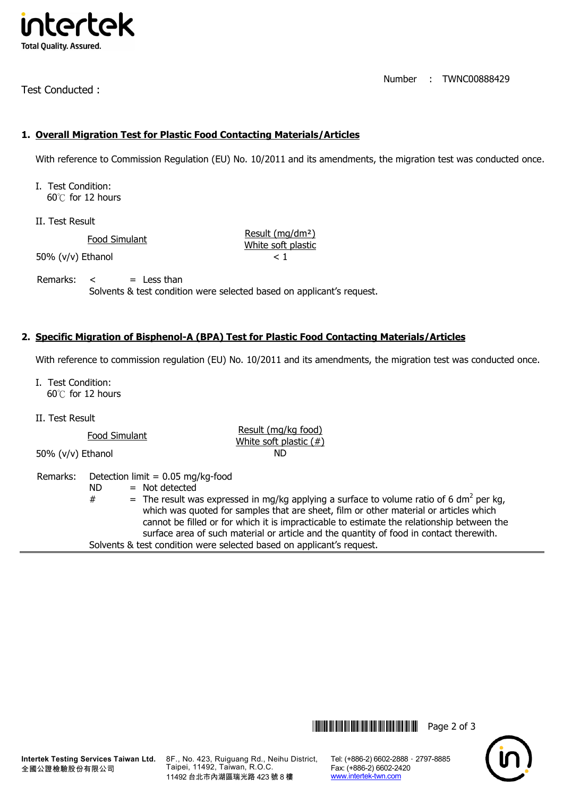

Test Conducted :

Number : TWNC00888429

## **1. Overall Migration Test for Plastic Food Contacting Materials/Articles**

With reference to Commission Regulation (EU) No. 10/2011 and its amendments, the migration test was conducted once.

I. Test Condition: 60℃ for 12 hours

II. Test Result

Food Simulant<br>
Food Simulant White soft plastic

 $50\%$  (v/v) Ethanol  $< 1$ 

Remarks:  $\lt$  = Less than

Solvents & test condition were selected based on applicant's request.

## **2. Specific Migration of Bisphenol-A (BPA) Test for Plastic Food Contacting Materials/Articles**

With reference to commission regulation (EU) No. 10/2011 and its amendments, the migration test was conducted once.

surface area of such material or article and the quantity of food in contact therewith.

I. Test Condition: 60℃ for 12 hours

II. Test Result

Food Simulant **Food Simulant** Result (mg/kg food)<br>White soft plastic (#) 50% (v/v) Ethanol ND Remarks: Detection limit = 0.05 mg/kg-food  $ND = Not detected$  $#$  = The result was expressed in mg/kg applying a surface to volume ratio of 6 dm<sup>2</sup> per kg, which was quoted for samples that are sheet, film or other material or articles which cannot be filled or for which it is impracticable to estimate the relationship between the

Solvents & test condition were selected based on applicant's request.

**Intertek Testing Services Taiwan Ltd.** 全國公證檢驗股份有限公司

8F., No. 423, Ruiguang Rd., Neihu District, Taipei, 11492, Taiwan, R.O.C. 11492 台北市內湖區瑞光路 423 號 8 樓

Tel: (+886-2) 6602-2888 · 2797-8885 Fax: (+886-2) 6602-2420 www.intertek-twn.com

\*THJ0888429\* Page 2 of 3